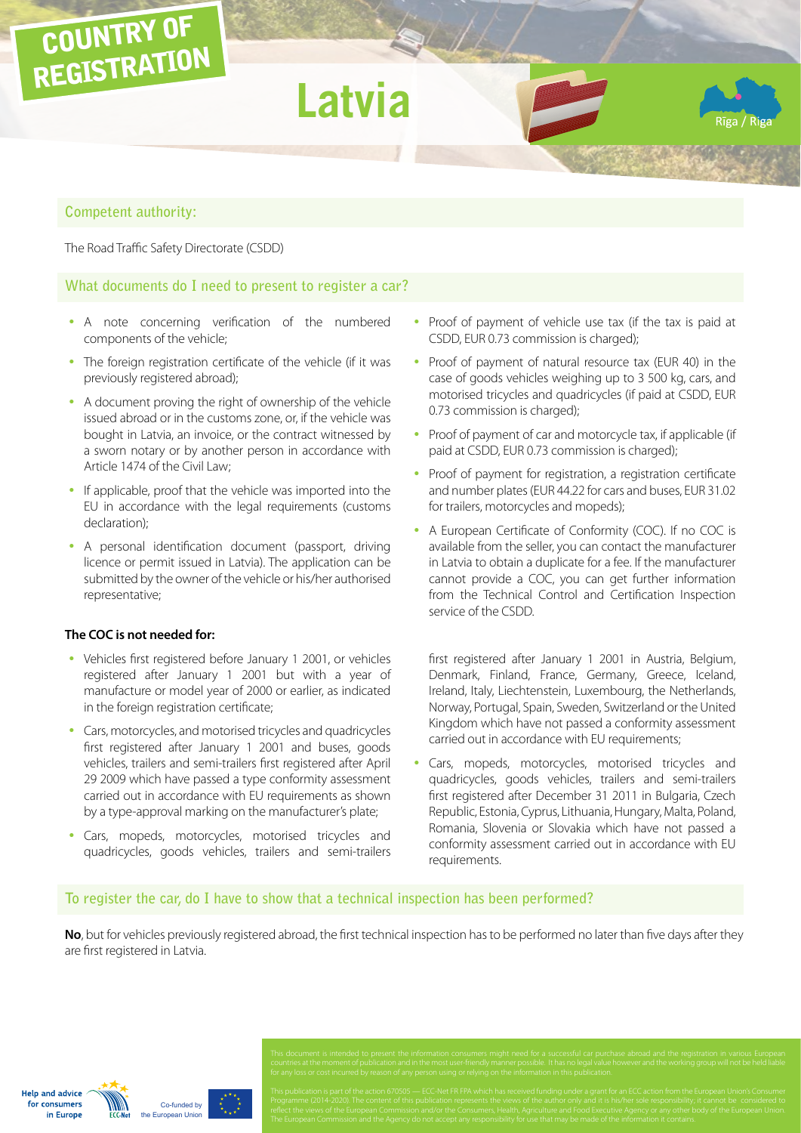

# **Competent authority:**

The Road Traffic Safety Directorate (CSDD)

## **What documents do I need to present to register a car?**

- A note concerning verification of the numbered components of the vehicle;
- The foreign registration certificate of the vehicle (if it was previously registered abroad);
- A document proving the right of ownership of the vehicle issued abroad or in the customs zone, or, if the vehicle was bought in Latvia, an invoice, or the contract witnessed by a sworn notary or by another person in accordance with Article 1474 of the Civil Law;
- If applicable, proof that the vehicle was imported into the EU in accordance with the legal requirements (customs declaration);
- A personal identification document (passport, driving licence or permit issued in Latvia). The application can be submitted by the owner of the vehicle or his/her authorised representative;

#### **The COC is not needed for:**

- Vehicles first registered before January 1 2001, or vehicles registered after January 1 2001 but with a year of manufacture or model year of 2000 or earlier, as indicated in the foreign registration certificate;
- Cars, motorcycles, and motorised tricycles and quadricycles first registered after January 1 2001 and buses, goods vehicles, trailers and semi-trailers first registered after April 29 2009 which have passed a type conformity assessment carried out in accordance with EU requirements as shown by a type-approval marking on the manufacturer's plate;
- Cars, mopeds, motorcycles, motorised tricycles and quadricycles, goods vehicles, trailers and semi-trailers
- Proof of payment of vehicle use tax (if the tax is paid at CSDD, EUR 0.73 commission is charged);
- Proof of payment of natural resource tax (EUR 40) in the case of goods vehicles weighing up to 3 500 kg, cars, and motorised tricycles and quadricycles (if paid at CSDD, EUR 0.73 commission is charged);
- Proof of payment of car and motorcycle tax, if applicable (if paid at CSDD, EUR 0.73 commission is charged);
- Proof of payment for registration, a registration certificate and number plates (EUR 44.22 for cars and buses, EUR 31.02 for trailers, motorcycles and mopeds);
- A European Certificate of Conformity (COC). If no COC is available from the seller, you can contact the manufacturer in Latvia to obtain a duplicate for a fee. If the manufacturer cannot provide a COC, you can get further information from the Technical Control and Certification Inspection service of the CSDD.

first registered after January 1 2001 in Austria, Belgium, Denmark, Finland, France, Germany, Greece, Iceland, Ireland, Italy, Liechtenstein, Luxembourg, the Netherlands, Norway, Portugal, Spain, Sweden, Switzerland or the United Kingdom which have not passed a conformity assessment carried out in accordance with EU requirements;

• Cars, mopeds, motorcycles, motorised tricycles and quadricycles, goods vehicles, trailers and semi-trailers first registered after December 31 2011 in Bulgaria, Czech Republic, Estonia, Cyprus, Lithuania, Hungary, Malta, Poland, Romania, Slovenia or Slovakia which have not passed a conformity assessment carried out in accordance with EU requirements.

## **To register the car, do I have to show that a technical inspection has been performed?**

**No**, but for vehicles previously registered abroad, the first technical inspection has to be performed no later than five days after they are first registered in Latvia.